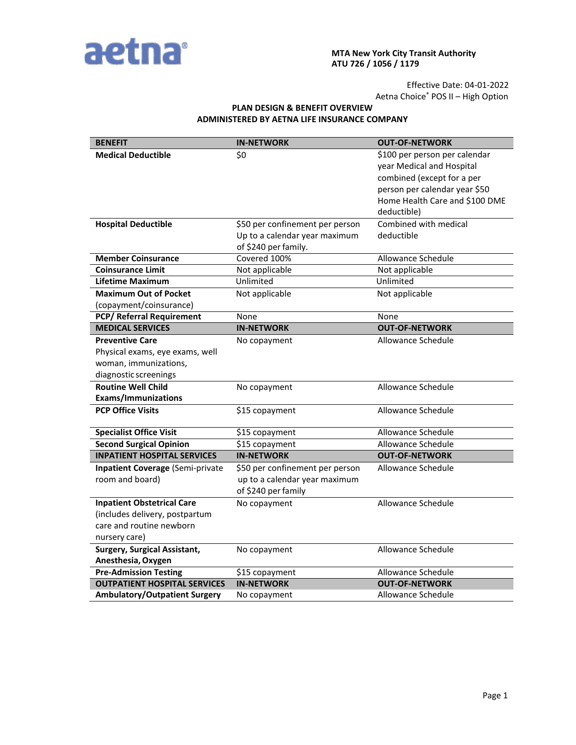

#### **MTA New York City Transit Authority ATU 726 / 1056 / 1179**

Effective Date: 04-01-2022 Aetna Choice® POS II – High Option

# **PLAN DESIGN & BENEFIT OVERVIEW ADMINISTERED BY AETNA LIFE INSURANCE COMPANY**

| <b>BENEFIT</b>                          | <b>IN-NETWORK</b>               | <b>OUT-OF-NETWORK</b>                                      |
|-----------------------------------------|---------------------------------|------------------------------------------------------------|
| <b>Medical Deductible</b>               | \$0                             | \$100 per person per calendar<br>year Medical and Hospital |
|                                         |                                 | combined (except for a per                                 |
|                                         |                                 | person per calendar year \$50                              |
|                                         |                                 | Home Health Care and \$100 DME                             |
|                                         |                                 | deductible)                                                |
| <b>Hospital Deductible</b>              | \$50 per confinement per person | Combined with medical                                      |
|                                         | Up to a calendar year maximum   | deductible                                                 |
|                                         | of \$240 per family.            |                                                            |
| <b>Member Coinsurance</b>               | Covered 100%                    | <b>Allowance Schedule</b>                                  |
| <b>Coinsurance Limit</b>                | Not applicable                  | Not applicable                                             |
| Lifetime Maximum                        | Unlimited                       | Unlimited                                                  |
| <b>Maximum Out of Pocket</b>            | Not applicable                  | Not applicable                                             |
| (copayment/coinsurance)                 |                                 |                                                            |
| <b>PCP/ Referral Requirement</b>        | None                            | None                                                       |
| <b>MEDICAL SERVICES</b>                 | <b>IN-NETWORK</b>               | <b>OUT-OF-NETWORK</b>                                      |
| <b>Preventive Care</b>                  | No copayment                    | Allowance Schedule                                         |
| Physical exams, eye exams, well         |                                 |                                                            |
| woman, immunizations,                   |                                 |                                                            |
| diagnostic screenings                   |                                 |                                                            |
| <b>Routine Well Child</b>               | No copayment                    | Allowance Schedule                                         |
| <b>Exams/Immunizations</b>              |                                 |                                                            |
| <b>PCP Office Visits</b>                | \$15 copayment                  | Allowance Schedule                                         |
| <b>Specialist Office Visit</b>          | \$15 copayment                  | Allowance Schedule                                         |
| <b>Second Surgical Opinion</b>          | \$15 copayment                  | Allowance Schedule                                         |
| <b>INPATIENT HOSPITAL SERVICES</b>      | <b>IN-NETWORK</b>               | <b>OUT-OF-NETWORK</b>                                      |
| <b>Inpatient Coverage (Semi-private</b> | \$50 per confinement per person | Allowance Schedule                                         |
| room and board)                         | up to a calendar year maximum   |                                                            |
|                                         | of \$240 per family             |                                                            |
| <b>Inpatient Obstetrical Care</b>       | No copayment                    | Allowance Schedule                                         |
| (includes delivery, postpartum          |                                 |                                                            |
| care and routine newborn                |                                 |                                                            |
| nursery care)                           |                                 |                                                            |
| <b>Surgery, Surgical Assistant,</b>     | No copayment                    | Allowance Schedule                                         |
| Anesthesia, Oxygen                      |                                 |                                                            |
| <b>Pre-Admission Testing</b>            | \$15 copayment                  | Allowance Schedule                                         |
| <b>OUTPATIENT HOSPITAL SERVICES</b>     | <b>IN-NETWORK</b>               | <b>OUT-OF-NETWORK</b>                                      |
| <b>Ambulatory/Outpatient Surgery</b>    | No copayment                    | Allowance Schedule                                         |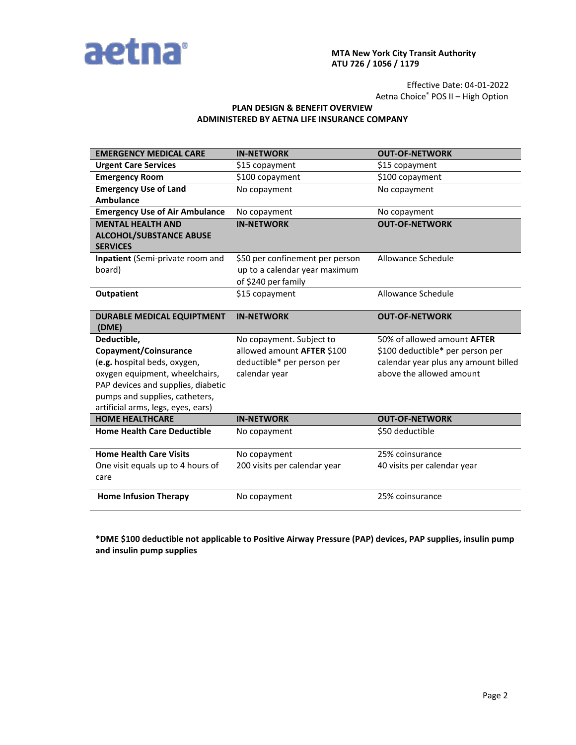

### **MTA New York City Transit Authority ATU 726 / 1056 / 1179**

Effective Date: 04-01-2022 Aetna Choice® POS II – High Option

## **PLAN DESIGN & BENEFIT OVERVIEW ADMINISTERED BY AETNA LIFE INSURANCE COMPANY**

| <b>EMERGENCY MEDICAL CARE</b>                     | <b>IN-NETWORK</b>               | <b>OUT-OF-NETWORK</b>                |
|---------------------------------------------------|---------------------------------|--------------------------------------|
| <b>Urgent Care Services</b>                       | \$15 copayment                  | \$15 copayment                       |
| <b>Emergency Room</b>                             | \$100 copayment                 | \$100 copayment                      |
| <b>Emergency Use of Land</b>                      | No copayment                    | No copayment                         |
| <b>Ambulance</b>                                  |                                 |                                      |
| <b>Emergency Use of Air Ambulance</b>             | No copayment                    | No copayment                         |
| <b>MENTAL HEALTH AND</b>                          | <b>IN-NETWORK</b>               | <b>OUT-OF-NETWORK</b>                |
| <b>ALCOHOL/SUBSTANCE ABUSE</b><br><b>SERVICES</b> |                                 |                                      |
| Inpatient (Semi-private room and                  | \$50 per confinement per person | Allowance Schedule                   |
| board)                                            | up to a calendar year maximum   |                                      |
|                                                   | of \$240 per family             |                                      |
| <b>Outpatient</b>                                 | \$15 copayment                  | Allowance Schedule                   |
|                                                   |                                 |                                      |
| <b>DURABLE MEDICAL EQUIPTMENT</b><br>(DME)        | <b>IN-NETWORK</b>               | <b>OUT-OF-NETWORK</b>                |
| Deductible,                                       | No copayment. Subject to        | 50% of allowed amount <b>AFTER</b>   |
| Copayment/Coinsurance                             | allowed amount AFTER \$100      | \$100 deductible* per person per     |
| (e.g. hospital beds, oxygen,                      | deductible* per person per      | calendar year plus any amount billed |
| oxygen equipment, wheelchairs,                    | calendar year                   | above the allowed amount             |
| PAP devices and supplies, diabetic                |                                 |                                      |
| pumps and supplies, catheters,                    |                                 |                                      |
| artificial arms, legs, eyes, ears)                |                                 |                                      |
| <b>HOME HEALTHCARE</b>                            | <b>IN-NETWORK</b>               | <b>OUT-OF-NETWORK</b>                |
| <b>Home Health Care Deductible</b>                | No copayment                    | \$50 deductible                      |
| <b>Home Health Care Visits</b>                    | No copayment                    | 25% coinsurance                      |
| One visit equals up to 4 hours of                 | 200 visits per calendar year    | 40 visits per calendar year          |
| care                                              |                                 |                                      |
| <b>Home Infusion Therapy</b>                      | No copayment                    | 25% coinsurance                      |

**\*DME \$100 deductible not applicable to Positive Airway Pressure (PAP) devices, PAP supplies, insulin pump and insulin pump supplies**